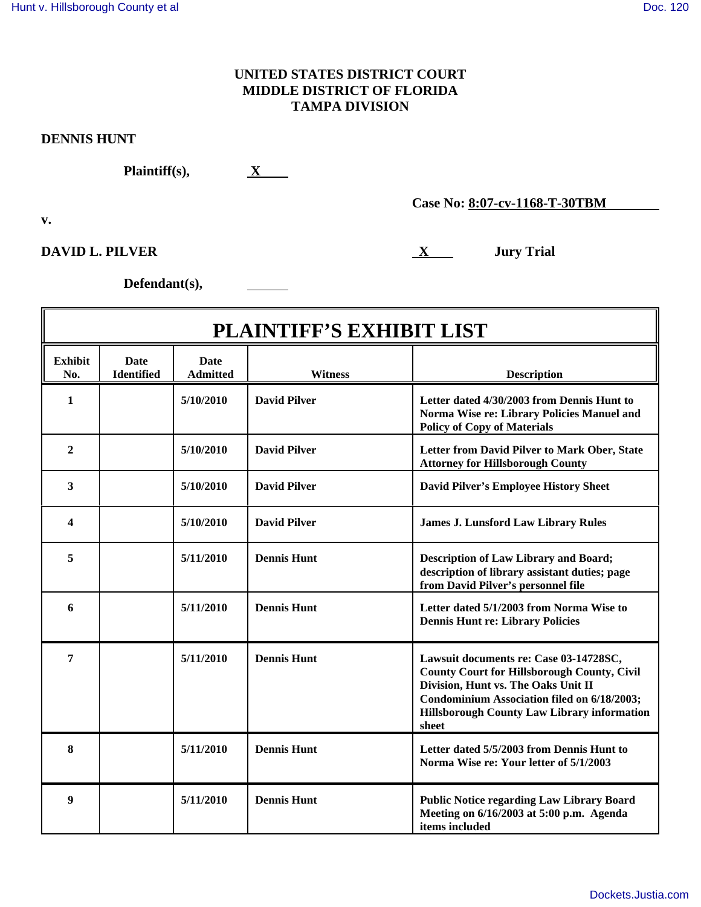## **UNITED STATES DISTRICT COURT MIDDLE DISTRICT OF FLORIDA TAMPA DIVISION**

## **DENNIS HUNT**

**Plaintiff(s), X**

**v.**

**DAVID L. PILVER** Jury Trial

**Case No: 8:07-cv-1168-T-30TBM**

**Defendant(s),**

| <b>PLAINTIFF'S EXHIBIT LIST</b> |                                  |                                |                     |                                                                                                                                                                                                                                                   |  |  |
|---------------------------------|----------------------------------|--------------------------------|---------------------|---------------------------------------------------------------------------------------------------------------------------------------------------------------------------------------------------------------------------------------------------|--|--|
| <b>Exhibit</b><br>No.           | <b>Date</b><br><b>Identified</b> | <b>Date</b><br><b>Admitted</b> | Witness             | <b>Description</b>                                                                                                                                                                                                                                |  |  |
| 1                               |                                  | 5/10/2010                      | <b>David Pilver</b> | Letter dated 4/30/2003 from Dennis Hunt to<br>Norma Wise re: Library Policies Manuel and<br><b>Policy of Copy of Materials</b>                                                                                                                    |  |  |
| $\overline{2}$                  |                                  | 5/10/2010                      | <b>David Pilver</b> | Letter from David Pilver to Mark Ober, State<br><b>Attorney for Hillsborough County</b>                                                                                                                                                           |  |  |
| 3                               |                                  | 5/10/2010                      | <b>David Pilver</b> | <b>David Pilver's Employee History Sheet</b>                                                                                                                                                                                                      |  |  |
| 4                               |                                  | 5/10/2010                      | <b>David Pilver</b> | <b>James J. Lunsford Law Library Rules</b>                                                                                                                                                                                                        |  |  |
| 5                               |                                  | 5/11/2010                      | <b>Dennis Hunt</b>  | <b>Description of Law Library and Board;</b><br>description of library assistant duties; page<br>from David Pilver's personnel file                                                                                                               |  |  |
| 6                               |                                  | 5/11/2010                      | <b>Dennis Hunt</b>  | Letter dated 5/1/2003 from Norma Wise to<br><b>Dennis Hunt re: Library Policies</b>                                                                                                                                                               |  |  |
| 7                               |                                  | 5/11/2010                      | <b>Dennis Hunt</b>  | Lawsuit documents re: Case 03-14728SC,<br><b>County Court for Hillsborough County, Civil</b><br>Division, Hunt vs. The Oaks Unit II<br>Condominium Association filed on 6/18/2003;<br><b>Hillsborough County Law Library information</b><br>sheet |  |  |
| 8                               |                                  | 5/11/2010                      | <b>Dennis Hunt</b>  | Letter dated 5/5/2003 from Dennis Hunt to<br>Norma Wise re: Your letter of 5/1/2003                                                                                                                                                               |  |  |
| 9                               |                                  | 5/11/2010                      | <b>Dennis Hunt</b>  | <b>Public Notice regarding Law Library Board</b><br>Meeting on 6/16/2003 at 5:00 p.m. Agenda<br>items included                                                                                                                                    |  |  |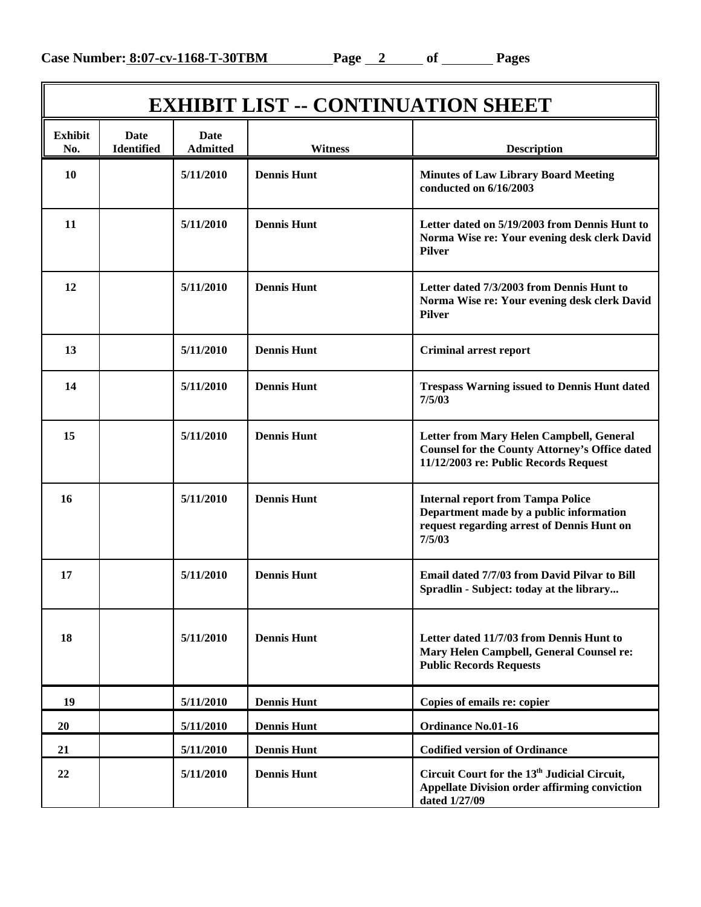| <b>EXHIBIT LIST -- CONTINUATION SHEET</b> |                                  |                                |                    |                                                                                                                                             |  |  |
|-------------------------------------------|----------------------------------|--------------------------------|--------------------|---------------------------------------------------------------------------------------------------------------------------------------------|--|--|
| <b>Exhibit</b><br>No.                     | <b>Date</b><br><b>Identified</b> | <b>Date</b><br><b>Admitted</b> | <b>Witness</b>     | <b>Description</b>                                                                                                                          |  |  |
| 10                                        |                                  | 5/11/2010                      | <b>Dennis Hunt</b> | <b>Minutes of Law Library Board Meeting</b><br>conducted on 6/16/2003                                                                       |  |  |
| 11                                        |                                  | 5/11/2010                      | <b>Dennis Hunt</b> | Letter dated on 5/19/2003 from Dennis Hunt to<br>Norma Wise re: Your evening desk clerk David<br><b>Pilver</b>                              |  |  |
| 12                                        |                                  | 5/11/2010                      | <b>Dennis Hunt</b> | Letter dated 7/3/2003 from Dennis Hunt to<br>Norma Wise re: Your evening desk clerk David<br><b>Pilver</b>                                  |  |  |
| 13                                        |                                  | 5/11/2010                      | <b>Dennis Hunt</b> | <b>Criminal arrest report</b>                                                                                                               |  |  |
| 14                                        |                                  | 5/11/2010                      | <b>Dennis Hunt</b> | <b>Trespass Warning issued to Dennis Hunt dated</b><br>7/5/03                                                                               |  |  |
| 15                                        |                                  | 5/11/2010                      | <b>Dennis Hunt</b> | Letter from Mary Helen Campbell, General<br><b>Counsel for the County Attorney's Office dated</b><br>11/12/2003 re: Public Records Request  |  |  |
| 16                                        |                                  | 5/11/2010                      | <b>Dennis Hunt</b> | <b>Internal report from Tampa Police</b><br>Department made by a public information<br>request regarding arrest of Dennis Hunt on<br>7/5/03 |  |  |
| 17                                        |                                  | 5/11/2010                      | <b>Dennis Hunt</b> | Email dated 7/7/03 from David Pilvar to Bill<br>Spradlin - Subject: today at the library                                                    |  |  |
| 18                                        |                                  | 5/11/2010                      | <b>Dennis Hunt</b> | Letter dated 11/7/03 from Dennis Hunt to<br>Mary Helen Campbell, General Counsel re:<br><b>Public Records Requests</b>                      |  |  |
| 19                                        |                                  | 5/11/2010                      | <b>Dennis Hunt</b> | Copies of emails re: copier                                                                                                                 |  |  |
| <b>20</b>                                 |                                  | 5/11/2010                      | <b>Dennis Hunt</b> | <b>Ordinance No.01-16</b>                                                                                                                   |  |  |
| 21                                        |                                  | 5/11/2010                      | <b>Dennis Hunt</b> | <b>Codified version of Ordinance</b>                                                                                                        |  |  |
| 22                                        |                                  | 5/11/2010                      | <b>Dennis Hunt</b> | Circuit Court for the 13 <sup>th</sup> Judicial Circuit,<br><b>Appellate Division order affirming conviction</b><br>dated 1/27/09           |  |  |